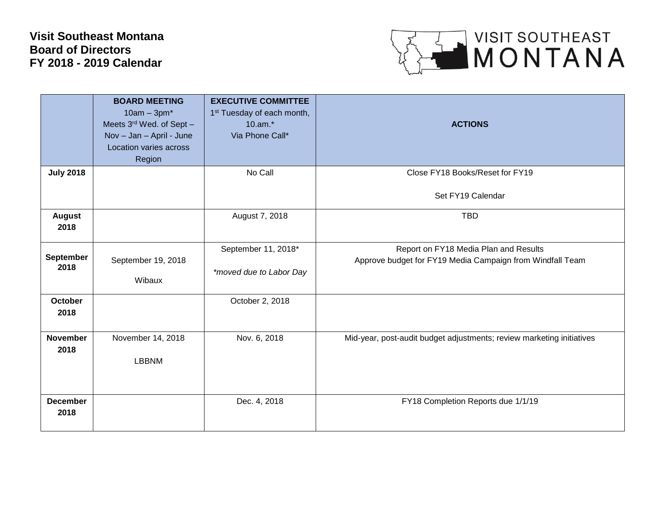## **Visit Southeast Montana Board of Directors FY 2018 - 2019 Calendar**



|                  | <b>BOARD MEETING</b>     | <b>EXECUTIVE COMMITTEE</b>             |                                                                       |
|------------------|--------------------------|----------------------------------------|-----------------------------------------------------------------------|
|                  | $10am - 3pm^*$           | 1 <sup>st</sup> Tuesday of each month, |                                                                       |
|                  |                          |                                        |                                                                       |
|                  | Meets 3rd Wed. of Sept - | 10.am.*                                | <b>ACTIONS</b>                                                        |
|                  | Nov - Jan - April - June | Via Phone Call*                        |                                                                       |
|                  | Location varies across   |                                        |                                                                       |
|                  | Region                   |                                        |                                                                       |
| <b>July 2018</b> |                          | No Call                                | Close FY18 Books/Reset for FY19                                       |
|                  |                          |                                        |                                                                       |
|                  |                          |                                        | Set FY19 Calendar                                                     |
|                  |                          |                                        |                                                                       |
| <b>August</b>    |                          | August 7, 2018                         | <b>TBD</b>                                                            |
| 2018             |                          |                                        |                                                                       |
|                  |                          |                                        |                                                                       |
|                  |                          | September 11, 2018*                    | Report on FY18 Media Plan and Results                                 |
| <b>September</b> | September 19, 2018       |                                        | Approve budget for FY19 Media Campaign from Windfall Team             |
| 2018             |                          | *moved due to Labor Day                |                                                                       |
|                  | Wibaux                   |                                        |                                                                       |
|                  |                          |                                        |                                                                       |
| <b>October</b>   |                          | October 2, 2018                        |                                                                       |
| 2018             |                          |                                        |                                                                       |
|                  |                          |                                        |                                                                       |
| <b>November</b>  | November 14, 2018        | Nov. 6, 2018                           | Mid-year, post-audit budget adjustments; review marketing initiatives |
| 2018             |                          |                                        |                                                                       |
|                  | <b>LBBNM</b>             |                                        |                                                                       |
|                  |                          |                                        |                                                                       |
|                  |                          |                                        |                                                                       |
|                  |                          |                                        |                                                                       |
| <b>December</b>  |                          | Dec. 4, 2018                           | FY18 Completion Reports due 1/1/19                                    |
| 2018             |                          |                                        |                                                                       |
|                  |                          |                                        |                                                                       |